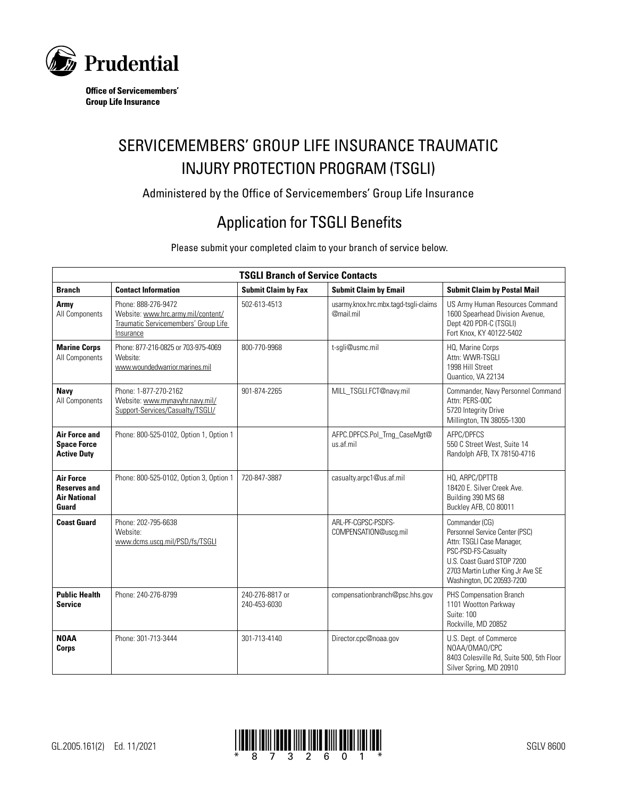

**Office of Servicemembers' Group Life Insurance** 

# SERVICEMEMBERS' GROUP LIFE INSURANCE TRAUMATIC INJURY PROTECTION PROGRAM (TSGLI)

Administered by the Office of Servicemembers' Group Life Insurance

## Application for TSGLI Benefits

Please submit your completed claim to your branch of service below.

| <b>TSGLI Branch of Service Contacts</b>                                 |                                                                                                                |                                 |                                                    |                                                                                                                                                                                                      |  |  |
|-------------------------------------------------------------------------|----------------------------------------------------------------------------------------------------------------|---------------------------------|----------------------------------------------------|------------------------------------------------------------------------------------------------------------------------------------------------------------------------------------------------------|--|--|
| <b>Branch</b>                                                           | <b>Contact Information</b>                                                                                     | <b>Submit Claim by Fax</b>      | <b>Submit Claim by Email</b>                       | <b>Submit Claim by Postal Mail</b>                                                                                                                                                                   |  |  |
| Army<br>All Components                                                  | Phone: 888-276-9472<br>Website: www.hrc.army.mil/content/<br>Traumatic Servicemembers' Group Life<br>Insurance | 502-613-4513                    | usarmy.knox.hrc.mbx.tagd-tsgli-claims<br>@mail.mil | US Army Human Resources Command<br>1600 Spearhead Division Avenue,<br>Dept 420 PDR-C (TSGLI)<br>Fort Knox, KY 40122-5402                                                                             |  |  |
| <b>Marine Corps</b><br>All Components                                   | Phone: 877-216-0825 or 703-975-4069<br>Website:<br>www.woundedwarrior.marines.mil                              | 800-770-9968                    | t-sgli@usmc.mil                                    | HQ, Marine Corps<br>Attn: WWR-TSGLI<br>1998 Hill Street<br>Quantico, VA 22134                                                                                                                        |  |  |
| <b>Navy</b><br>All Components                                           | Phone: 1-877-270-2162<br>Website: www.mynavyhr.navy.mil/<br>Support-Services/Casualty/TSGLI/                   | 901-874-2265                    | MILL TSGLI.FCT@navy.mil                            | Commander, Navy Personnel Command<br>Attn: PERS-00C<br>5720 Integrity Drive<br>Millington, TN 38055-1300                                                                                             |  |  |
| <b>Air Force and</b><br><b>Space Force</b><br><b>Active Duty</b>        | Phone: 800-525-0102, Option 1, Option 1                                                                        |                                 | AFPC.DPFCS.Pol_Trng_CaseMgt@<br>us.af.mil          | AFPC/DPFCS<br>550 C Street West, Suite 14<br>Randolph AFB, TX 78150-4716                                                                                                                             |  |  |
| <b>Air Force</b><br><b>Reserves and</b><br><b>Air National</b><br>Guard | Phone: 800-525-0102, Option 3, Option 1                                                                        | 720-847-3887                    | casualty.arpc1@us.af.mil                           | HQ. ARPC/DPTTB<br>18420 E. Silver Creek Ave.<br>Building 390 MS 68<br>Buckley AFB, CO 80011                                                                                                          |  |  |
| <b>Coast Guard</b>                                                      | Phone: 202-795-6638<br>Website:<br>www.dcms.uscg.mil/PSD/fs/TSGLI                                              |                                 | ARL-PF-CGPSC-PSDFS-<br>COMPENSATION@uscq.mil       | Commander (CG)<br>Personnel Service Center (PSC)<br>Attn: TSGLI Case Manager,<br>PSC-PSD-FS-Casualty<br>U.S. Coast Guard STOP 7200<br>2703 Martin Luther King Jr Ave SE<br>Washington, DC 20593-7200 |  |  |
| <b>Public Health</b><br><b>Service</b>                                  | Phone: 240-276-8799                                                                                            | 240-276-8817 or<br>240-453-6030 | compensationbranch@psc.hhs.gov                     | PHS Compensation Branch<br>1101 Wootton Parkway<br>Suite: 100<br>Rockville, MD 20852                                                                                                                 |  |  |
| <b>NOAA</b><br>Corps                                                    | Phone: 301-713-3444                                                                                            | 301-713-4140                    | Director.cpc@noaa.gov                              | U.S. Dept. of Commerce<br>NOAA/OMAO/CPC<br>8403 Colesville Rd, Suite 500, 5th Floor<br>Silver Spring, MD 20910                                                                                       |  |  |

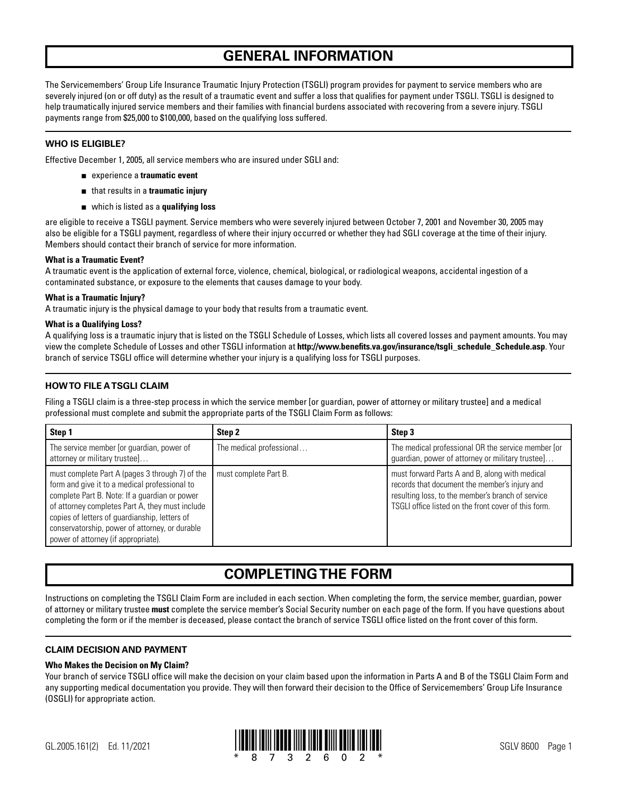## **GENERAL INFORMATION**

The Servicemembers' Group Life Insurance Traumatic Injury Protection (TSGLI) program provides for payment to service members who are severely injured (on or off duty) as the result of a traumatic event and suffer a loss that qualifies for payment under TSGLI. TSGLI is designed to help traumatically injured service members and their families with financial burdens associated with recovering from a severe injury. TSGLI payments range from \$25,000 to \$100,000, based on the qualifying loss suffered.

## **WHO IS ELIGIBLE?**

Effective December 1, 2005, all service members who are insured under SGLI and:

- experience a **traumatic event**
- that results in a **traumatic injury**
- which is listed as a **qualifying loss**

are eligible to receive a TSGLI payment. Service members who were severely injured between October 7, 2001 and November 30, 2005 may also be eligible for a TSGLI payment, regardless of where their injury occurred or whether they had SGLI coverage at the time of their injury. Members should contact their branch of service for more information.

## **What is a Traumatic Event?**

A traumatic event is the application of external force, violence, chemical, biological, or radiological weapons, accidental ingestion of a contaminated substance, or exposure to the elements that causes damage to your body.

## **What is a Traumatic Injury?**

A traumatic injury is the physical damage to your body that results from a traumatic event.

## **What is a Qualifying Loss?**

A qualifying loss is a traumatic injury that is listed on the TSGLI Schedule of Losses, which lists all covered losses and payment amounts. You may view the complete Schedule of Losses and other TSGLI information at **http://[www.benefits.va.gov/insurance/tsgli\\_schedule\\_Schedule.asp](https://www.benefits.va.gov/insurance/tsgli_schedule_Schedule.asp)**. Your branch of service TSGLI office will determine whether your injury is a qualifying loss for TSGLI purposes.

## **HOW TO FILE A TSGLI CLAIM**

Filing a TSGLI claim is a three-step process in which the service member [or guardian, power of attorney or military trustee] and a medical professional must complete and submit the appropriate parts of the TSGLI Claim Form as follows:

| Step 1                                                                                                                                                                                                                                                                                                                                         | Step 2                   | Step 3                                                                                                                                                                                                       |
|------------------------------------------------------------------------------------------------------------------------------------------------------------------------------------------------------------------------------------------------------------------------------------------------------------------------------------------------|--------------------------|--------------------------------------------------------------------------------------------------------------------------------------------------------------------------------------------------------------|
| The service member [or guardian, power of<br>attorney or military trustee]                                                                                                                                                                                                                                                                     | The medical professional | The medical professional OR the service member [or<br>guardian, power of attorney or military trustee]                                                                                                       |
| must complete Part A (pages 3 through 7) of the<br>form and give it to a medical professional to<br>complete Part B. Note: If a guardian or power<br>of attorney completes Part A, they must include<br>copies of letters of guardianship, letters of<br>conservatorship, power of attorney, or durable<br>power of attorney (if appropriate). | must complete Part B.    | must forward Parts A and B, along with medical<br>records that document the member's injury and<br>resulting loss, to the member's branch of service<br>TSGLI office listed on the front cover of this form. |

## **COMPLETING THE FORM**

Instructions on completing the TSGLI Claim Form are included in each section. When completing the form, the service member, guardian, power of attorney or military trustee **must** complete the service member's Social Security number on each page of the form. If you have questions about completing the form or if the member is deceased, please contact the branch of service TSGLI office listed on the front cover of this form.

## **CLAIM DECISION AND PAYMENT**

## **Who Makes the Decision on My Claim?**

Your branch of service TSGLI office will make the decision on your claim based upon the information in Parts A and B of the TSGLI Claim Form and any supporting medical documentation you provide. They will then forward their decision to the Office of Servicemembers' Group Life Insurance (OSGLI) for appropriate action.

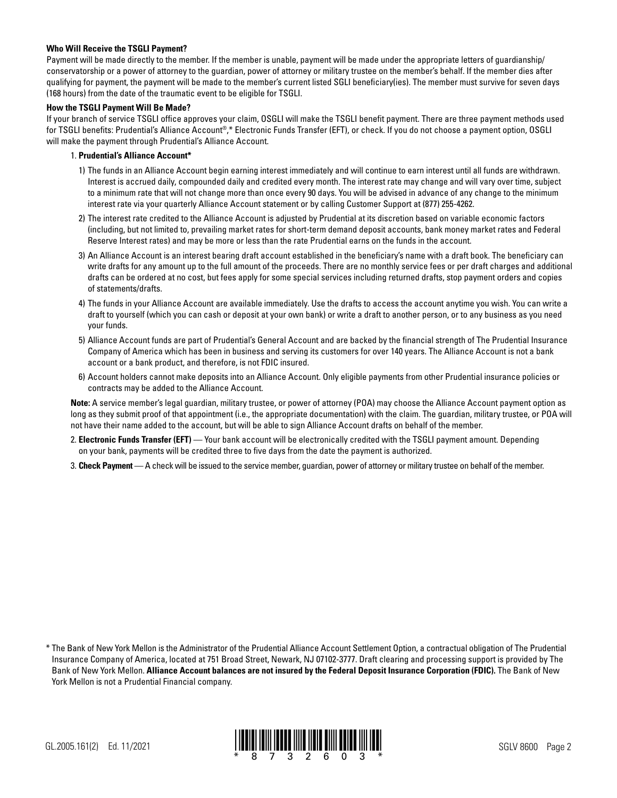### **Who Will Receive the TSGLI Payment?**

Payment will be made directly to the member. If the member is unable, payment will be made under the appropriate letters of guardianship/ conservatorship or a power of attorney to the guardian, power of attorney or military trustee on the member's behalf. If the member dies after qualifying for payment, the payment will be made to the member's current listed SGLI beneficiary(ies). The member must survive for seven days (168 hours) from the date of the traumatic event to be eligible for TSGLI.

#### **How the TSGLI Payment Will Be Made?**

If your branch of service TSGLI office approves your claim, OSGLI will make the TSGLI benefit payment. There are three payment methods used for TSGLI benefits: Prudential's Alliance Account®,\* Electronic Funds Transfer (EFT), or check. If you do not choose a payment option, OSGLI will make the payment through Prudential's Alliance Account.

### 1. **Prudential's Alliance Account\***

- 1) The funds in an Alliance Account begin earning interest immediately and will continue to earn interest until all funds are withdrawn. Interest is accrued daily, compounded daily and credited every month. The interest rate may change and will vary over time, subject to a minimum rate that will not change more than once every 90 days. You will be advised in advance of any change to the minimum interest rate via your quarterly Alliance Account statement or by calling Customer Support at (877) 255-4262.
- 2) The interest rate credited to the Alliance Account is adjusted by Prudential at its discretion based on variable economic factors (including, but not limited to, prevailing market rates for short-term demand deposit accounts, bank money market rates and Federal Reserve Interest rates) and may be more or less than the rate Prudential earns on the funds in the account.
- 3) An Alliance Account is an interest bearing draft account established in the beneficiary's name with a draft book. The beneficiary can write drafts for any amount up to the full amount of the proceeds. There are no monthly service fees or per draft charges and additional drafts can be ordered at no cost, but fees apply for some special services including returned drafts, stop payment orders and copies of statements/drafts.
- 4) The funds in your Alliance Account are available immediately. Use the drafts to access the account anytime you wish. You can write a draft to yourself (which you can cash or deposit at your own bank) or write a draft to another person, or to any business as you need your funds.
- 5) Alliance Account funds are part of Prudential's General Account and are backed by the financial strength of The Prudential Insurance Company of America which has been in business and serving its customers for over 140 years. The Alliance Account is not a bank account or a bank product, and therefore, is not FDIC insured.
- 6) Account holders cannot make deposits into an Alliance Account. Only eligible payments from other Prudential insurance policies or contracts may be added to the Alliance Account.

 **Note:** A service member's legal guardian, military trustee, or power of attorney (POA) may choose the Alliance Account payment option as long as they submit proof of that appointment (i.e., the appropriate documentation) with the claim. The guardian, military trustee, or POA will not have their name added to the account, but will be able to sign Alliance Account drafts on behalf of the member.

- 2. **Electronic Funds Transfer (EFT)**  Your bank account will be electronically credited with the TSGLI payment amount. Depending on your bank, payments will be credited three to five days from the date the payment is authorized.
- 3. **Check Payment** A check will be issued to the service member, guardian, power of attorney or military trustee on behalf of the member.



<sup>\*</sup> The Bank of New York Mellon is the Administrator of the Prudential Alliance Account Settlement Option, a contractual obligation of The Prudential Insurance Company of America, located at 751 Broad Street, Newark, NJ 07102-3777. Draft clearing and processing support is provided by The Bank of New York Mellon. **Alliance Account balances are not insured by the Federal Deposit Insurance Corporation (FDIC).** The Bank of New York Mellon is not a Prudential Financial company.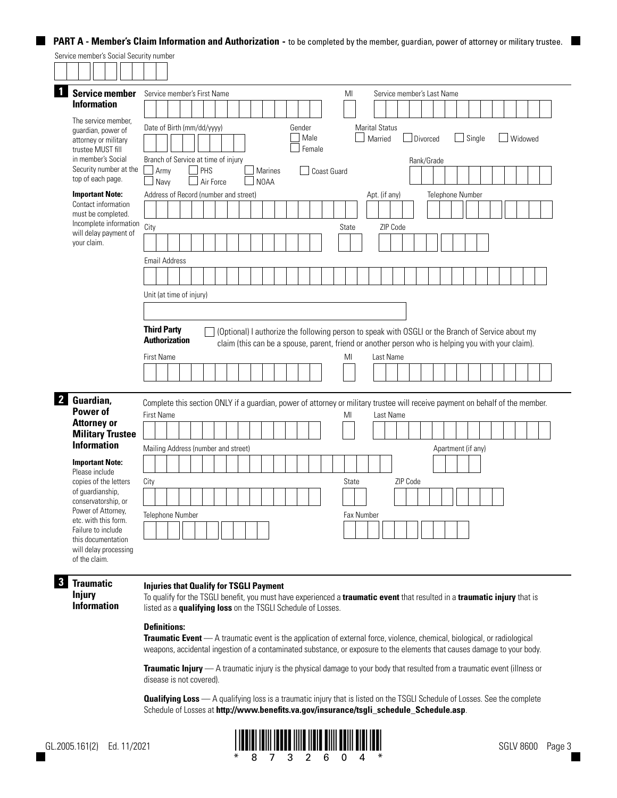## **PART A - Member's Claim Information and Authorization - to be completed by the member, guardian, power of attorney or military trustee.**

|                                                                                                                                        | Service member's Social Security number                           |                                                                                                                                                                                                                                                                                               |
|----------------------------------------------------------------------------------------------------------------------------------------|-------------------------------------------------------------------|-----------------------------------------------------------------------------------------------------------------------------------------------------------------------------------------------------------------------------------------------------------------------------------------------|
|                                                                                                                                        |                                                                   |                                                                                                                                                                                                                                                                                               |
|                                                                                                                                        | Service member                                                    | Service member's First Name<br>MI<br>Service member's Last Name                                                                                                                                                                                                                               |
|                                                                                                                                        | <b>Information</b>                                                |                                                                                                                                                                                                                                                                                               |
| The service member.<br>guardian, power of<br>attorney or military<br>trustee MUST fill<br>in member's Social<br>Security number at the |                                                                   | <b>Marital Status</b><br>Date of Birth (mm/dd/yyyy)<br>Gender<br>Male<br>$\Box$ Single<br>Married<br>Divorced<br>Widowed<br>Female<br>Branch of Service at time of injury<br>Rank/Grade<br>PHS<br>Army<br><b>Marines</b>                                                                      |
|                                                                                                                                        | top of each page.                                                 | $\Box$ Coast Guard<br>Air Force<br>Navv<br>N <sub>0</sub> AA                                                                                                                                                                                                                                  |
| <b>Important Note:</b><br>Contact information<br>must be completed.<br>Incomplete information                                          |                                                                   | Address of Record (number and street)<br>Telephone Number<br>Apt. (if any)<br>City<br>ZIP Code<br><b>State</b>                                                                                                                                                                                |
|                                                                                                                                        | will delay payment of<br>your claim.                              |                                                                                                                                                                                                                                                                                               |
|                                                                                                                                        |                                                                   | <b>Email Address</b>                                                                                                                                                                                                                                                                          |
|                                                                                                                                        |                                                                   |                                                                                                                                                                                                                                                                                               |
|                                                                                                                                        |                                                                   | Unit (at time of injury)                                                                                                                                                                                                                                                                      |
|                                                                                                                                        |                                                                   |                                                                                                                                                                                                                                                                                               |
|                                                                                                                                        |                                                                   | <b>Third Party</b><br>(Optional) I authorize the following person to speak with OSGLI or the Branch of Service about my<br><b>Authorization</b><br>claim (this can be a spouse, parent, friend or another person who is helping you with your claim).<br><b>First Name</b><br>MI<br>Last Name |
|                                                                                                                                        |                                                                   |                                                                                                                                                                                                                                                                                               |
|                                                                                                                                        | 2 Guardian,<br>Power of                                           | Complete this section ONLY if a guardian, power of attorney or military trustee will receive payment on behalf of the member.<br><b>First Name</b><br>MI<br>Last Name                                                                                                                         |
|                                                                                                                                        | <b>Attorney or</b><br><b>Military Trustee</b>                     |                                                                                                                                                                                                                                                                                               |
|                                                                                                                                        | <b>Information</b>                                                | Mailing Address (number and street)<br>Apartment (if any)                                                                                                                                                                                                                                     |
|                                                                                                                                        | <b>Important Note:</b><br>Please include                          |                                                                                                                                                                                                                                                                                               |
|                                                                                                                                        | copies of the letters                                             | ZIP Code<br>City<br>State                                                                                                                                                                                                                                                                     |
|                                                                                                                                        | of guardianship,<br>conservatorship, or                           |                                                                                                                                                                                                                                                                                               |
|                                                                                                                                        | Power of Attorney,<br>etc. with this form.                        | <b>Telephone Number</b><br>Fax Number                                                                                                                                                                                                                                                         |
|                                                                                                                                        | Failure to include<br>this documentation<br>will delay processing |                                                                                                                                                                                                                                                                                               |
|                                                                                                                                        | of the claim.                                                     |                                                                                                                                                                                                                                                                                               |

## **3 Traumatic Injury**

#### **Injuries that Qualify for TSGLI Payment**

**Information** 

To qualify for the TSGLI benefit, you must have experienced a **traumatic event** that resulted in a **traumatic injury** that is listed as a **qualifying loss** on the TSGLI Schedule of Losses.

## **Definitions:**

**Traumatic Event** — A traumatic event is the application of external force, violence, chemical, biological, or radiological weapons, accidental ingestion of a contaminated substance, or exposure to the elements that causes damage to your body.

**Traumatic Injury** — A traumatic injury is the physical damage to your body that resulted from a traumatic event (illness or disease is not covered).

**Qualifying Loss** — A qualifying loss is a traumatic injury that is listed on the TSGLI Schedule of Losses. See the complete Schedule of Losses at **http://www.benefits.va.gov/insurance/tsgli\_schedule\_Schedule.asp**.



**The College**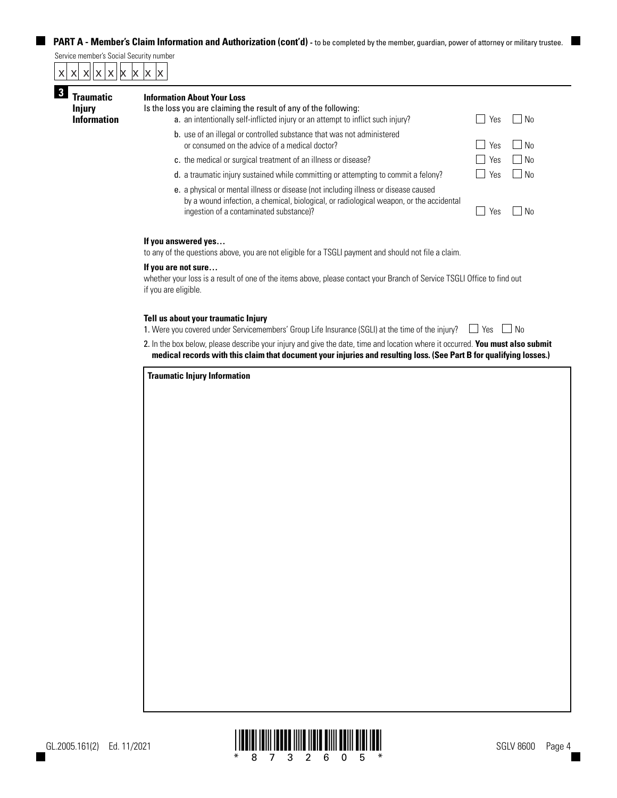## **PART A - Member's Claim Information and Authorization (cont'd)** - to be completed by the member, guardian, power of attorney or military trustee.

Service member's Social Security number

|  | $x \times x$ x $x$ x $x$ x $x$ |  |  |  |
|--|--------------------------------|--|--|--|
|  |                                |  |  |  |

| raumatic<br><b>Injury</b><br><b>Information</b> | <b>Information About Your Loss</b><br>Is the loss you are claiming the result of any of the following:<br>a. an intentionally self-inflicted injury or an attempt to inflict such injury?<br>No.<br>Yes                   |     |      |  |  |  |  |  |
|-------------------------------------------------|---------------------------------------------------------------------------------------------------------------------------------------------------------------------------------------------------------------------------|-----|------|--|--|--|--|--|
|                                                 | b. use of an illegal or controlled substance that was not administered<br>or consumed on the advice of a medical doctor?                                                                                                  | Yes | No.  |  |  |  |  |  |
|                                                 | c. the medical or surgical treatment of an illness or disease?                                                                                                                                                            | Yes | No.  |  |  |  |  |  |
|                                                 | d. a traumatic injury sustained while committing or attempting to commit a felony?                                                                                                                                        | Yes | l No |  |  |  |  |  |
|                                                 | e. a physical or mental illness or disease (not including illness or disease caused<br>by a wound infection, a chemical, biological, or radiological weapon, or the accidental<br>ingestion of a contaminated substance)? | Yes | No.  |  |  |  |  |  |
|                                                 | If you answered yes<br>to any of the questions above, you are not eligible for a TSGLI payment and should not file a claim.                                                                                               |     |      |  |  |  |  |  |
|                                                 | If you are not sure<br>whether your loss is a result of one of the items above, please contact your Branch of Service TSGLI Office to find out<br>if you are eligible.                                                    |     |      |  |  |  |  |  |

#### **Tell us about your traumatic Injury**

1. Were you covered under Servicemembers' Group Life Insurance (SGLI) at the time of the injury?  $\Box$  Yes  $\Box$  No

2. In the box below, please describe your injury and give the date, time and location where it occurred. **You must also submit medical records with this claim that document your injuries and resulting loss. (See Part B for qualifying losses.)**

| <b>Traumatic Injury Information</b> |  |  |  |
|-------------------------------------|--|--|--|
|                                     |  |  |  |
|                                     |  |  |  |
|                                     |  |  |  |
|                                     |  |  |  |
|                                     |  |  |  |
|                                     |  |  |  |
|                                     |  |  |  |
|                                     |  |  |  |
|                                     |  |  |  |
|                                     |  |  |  |
|                                     |  |  |  |
|                                     |  |  |  |
|                                     |  |  |  |
|                                     |  |  |  |
|                                     |  |  |  |
|                                     |  |  |  |
|                                     |  |  |  |
|                                     |  |  |  |
|                                     |  |  |  |
|                                     |  |  |  |

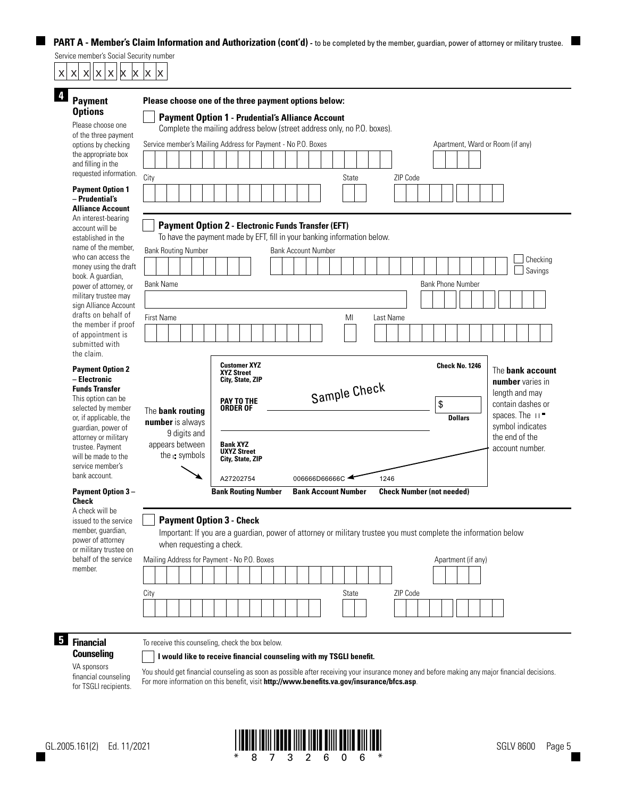**PART A - Member's Claim Information and Authorization (cont'd) - to be completed by the member, guardian, power of attorney or military trustee.** 

Service member's Social Security number

| X X<br>X X<br>X<br>X<br>X                                                                                                                                                               | X<br>X                                                                                                     |                                                                                                                                                                                                                                                                                                                    |                                               |                                                                                                                     |
|-----------------------------------------------------------------------------------------------------------------------------------------------------------------------------------------|------------------------------------------------------------------------------------------------------------|--------------------------------------------------------------------------------------------------------------------------------------------------------------------------------------------------------------------------------------------------------------------------------------------------------------------|-----------------------------------------------|---------------------------------------------------------------------------------------------------------------------|
| 4<br>Payment<br><b>Options</b><br>Please choose one<br>of the three payment<br>options by checking<br>the appropriate box<br>and filling in the<br>requested information.               | City                                                                                                       | Please choose one of the three payment options below:<br><b>Payment Option 1 - Prudential's Alliance Account</b><br>Complete the mailing address below (street address only, no P.O. boxes).<br>Service member's Mailing Address for Payment - No P.O. Boxes<br><b>State</b>                                       | Apartment, Ward or Room (if any)<br>ZIP Code  |                                                                                                                     |
| <b>Payment Option 1</b><br>- Prudential's<br><b>Alliance Account</b><br>An interest-bearing<br>account will be                                                                          |                                                                                                            | <b>Payment Option 2 - Electronic Funds Transfer (EFT)</b>                                                                                                                                                                                                                                                          |                                               |                                                                                                                     |
| established in the<br>name of the member.<br>who can access the<br>money using the draft<br>book. A guardian,<br>power of attorney, or<br>military trustee may<br>sign Alliance Account | <b>Bank Routing Number</b><br><b>Bank Name</b>                                                             | To have the payment made by EFT, fill in your banking information below.<br><b>Bank Account Number</b>                                                                                                                                                                                                             | <b>Bank Phone Number</b>                      | Checking<br>Savings                                                                                                 |
| drafts on behalf of<br>the member if proof<br>of appointment is<br>submitted with<br>the claim.                                                                                         | First Name                                                                                                 | MI<br>Last Name                                                                                                                                                                                                                                                                                                    |                                               |                                                                                                                     |
| <b>Payment Option 2</b><br>- Electronic<br><b>Funds Transfer</b><br>This option can be<br>selected by member<br>or, if applicable, the<br>guardian, power of                            | The bank routing<br><b>number</b> is always                                                                | <b>Customer XYZ</b><br><b>XYZ Street</b><br>City, State, ZIP<br>Sample Check<br>PAY TO THE<br>ORDER OF                                                                                                                                                                                                             | <b>Check No. 1246</b><br>\$<br><b>Dollars</b> | The bank account<br>number varies in<br>length and may<br>contain dashes or<br>spaces. The $11$<br>symbol indicates |
| attorney or military<br>trustee. Payment<br>will be made to the<br>service member's<br>bank account.<br><b>Payment Option 3-</b>                                                        | 9 digits and<br>appears between<br>the $\cdot$ symbols                                                     | <b>Bank XYZ</b><br><b>UXYZ Street</b><br>City, State, ZIP<br>A27202754<br>006666D66666C<br>1246<br><b>Bank Routing Number</b><br><b>Bank Account Number</b>                                                                                                                                                        | <b>Check Number (not needed)</b>              | the end of the<br>account number.                                                                                   |
| <b>Check</b><br>A check will be<br>issued to the service<br>member, guardian,<br>power of attorney<br>or military trustee on<br>behalf of the service                                   | <b>Payment Option 3 - Check</b><br>when requesting a check.<br>Mailing Address for Payment - No P.O. Boxes | Important: If you are a guardian, power of attorney or military trustee you must complete the information below                                                                                                                                                                                                    | Apartment (if any)                            |                                                                                                                     |
| member.                                                                                                                                                                                 | City                                                                                                       | State                                                                                                                                                                                                                                                                                                              | ZIP Code                                      |                                                                                                                     |
| 5<br><b>Financial</b><br><b>Counseling</b><br>VA sponsors<br>financial counseling<br>for TSGLI recipients.                                                                              | To receive this counseling, check the box below.                                                           | I would like to receive financial counseling with my TSGLI benefit.<br>You should get financial counseling as soon as possible after receiving your insurance money and before making any major financial decisions.<br>For more information on this benefit, visit http://www.benefits.va.gov/insurance/bfcs.asp. |                                               |                                                                                                                     |

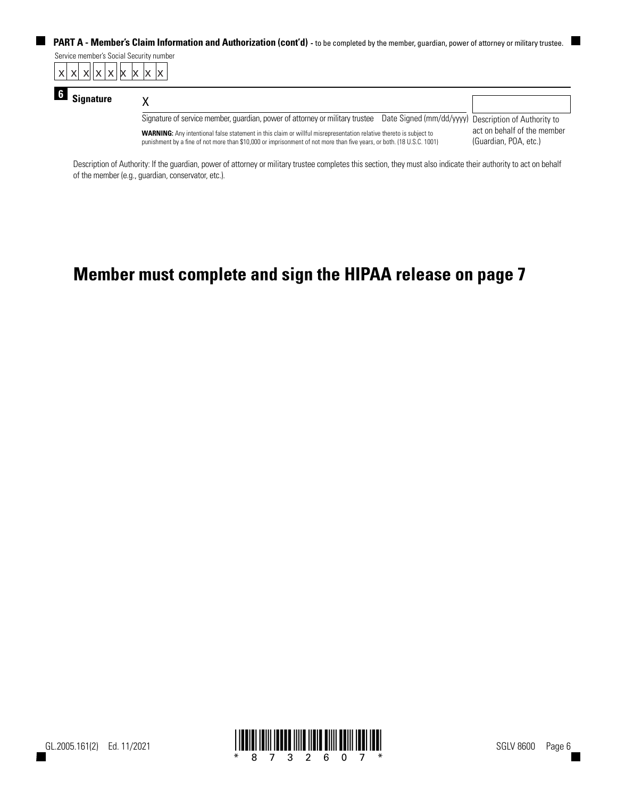ш **PART A - Member's Claim Information and Authorization (cont'd)** - to be completed by the member, guardian, power of attorney or military trustee.

|  | Service member's Social Security number |  |  |  |  |
|--|-----------------------------------------|--|--|--|--|
|  | $x$ x $x$ x $x$ $x$ $x$ $x$ $x$ $x$     |  |  |  |  |

| <b>Signature</b>                                                                                                                                                                                                                                   |                                                                                                                                   |                                                      |  |  |
|----------------------------------------------------------------------------------------------------------------------------------------------------------------------------------------------------------------------------------------------------|-----------------------------------------------------------------------------------------------------------------------------------|------------------------------------------------------|--|--|
|                                                                                                                                                                                                                                                    | Signature of service member, guardian, power of attorney or military trustee Date Signed (mm/dd/yyyy) Description of Authority to |                                                      |  |  |
| <b>WARNING:</b> Any intentional false statement in this claim or willful misrepresentation relative thereto is subject to<br>punishment by a fine of not more than \$10,000 or imprisonment of not more than five years, or both. (18 U.S.C. 1001) |                                                                                                                                   | act on behalf of the member<br>(Guardian, POA, etc.) |  |  |

Description of Authority: If the guardian, power of attorney or military trustee completes this section, they must also indicate their authority to act on behalf of the member (e.g., guardian, conservator, etc.).

## **Member must complete and sign the HIPAA release on page 7**

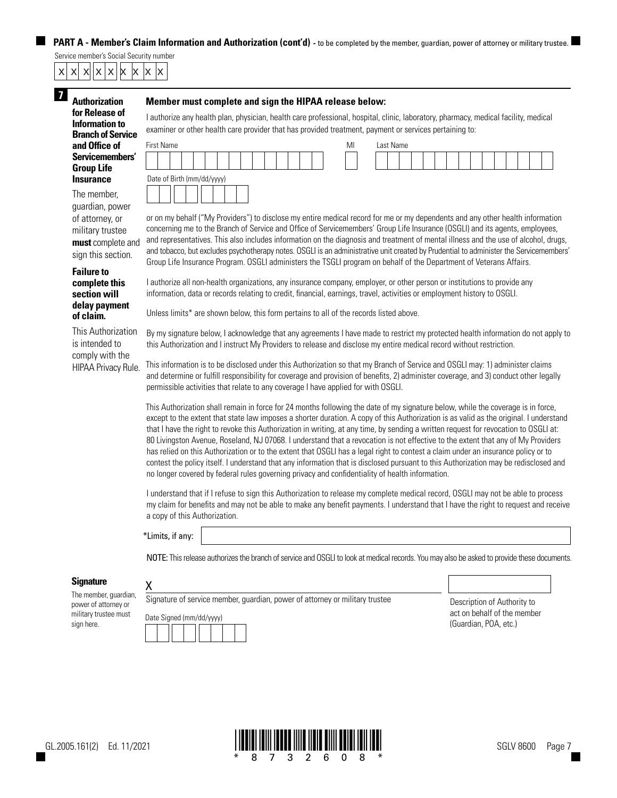**PART A - Member's Claim Information and Authorization (cont'd)** - to be completed by the member, guardian, power of attorney or military trustee.

## Service member's Social Security number x| x| x||x |x |x |x |x

| <b>Authorization</b>     |
|--------------------------|
| for Release of           |
| Information to           |
| <b>Branch of Service</b> |
| and Office of            |
| Servicemembers'          |
| <b>Group Life</b>        |
| <b>Insurance</b>         |

The member, guardian, power of attorney, or military trustee **must** complete and sign this section.

### **Failure to complete this section will delay payment of claim.**

This Authorization is intended to comply with the HIPAA Privacy Rule.

## **17 Member must complete and sign the HIPAA release below:**

I authorize any health plan, physician, health care professional, hospital, clinic, laboratory, pharmacy, medical facility, medical examiner or other health care provider that has provided treatment, payment or services pertaining to:

| <b>First Name</b>          | MI | Last Name |
|----------------------------|----|-----------|
|                            |    |           |
| Date of Birth (mm/dd/yyyy) |    |           |
|                            |    |           |

or on my behalf ("My Providers") to disclose my entire medical record for me or my dependents and any other health information concerning me to the Branch of Service and Office of Servicemembers' Group Life Insurance (OSGLI) and its agents, employees, and representatives. This also includes information on the diagnosis and treatment of mental illness and the use of alcohol, drugs, and tobacco, but excludes psychotherapy notes. OSGLI is an administrative unit created by Prudential to administer the Servicemembers' Group Life Insurance Program. OSGLI administers the TSGLI program on behalf of the Department of Veterans Affairs.

I authorize all non-health organizations, any insurance company, employer, or other person or institutions to provide any information, data or records relating to credit, financial, earnings, travel, activities or employment history to OSGLI.

Unless limits\* are shown below, this form pertains to all of the records listed above.

By my signature below, I acknowledge that any agreements I have made to restrict my protected health information do not apply to this Authorization and I instruct My Providers to release and disclose my entire medical record without restriction.

This information is to be disclosed under this Authorization so that my Branch of Service and OSGLI may: 1) administer claims and determine or fulfill responsibility for coverage and provision of benefits, 2) administer coverage, and 3) conduct other legally permissible activities that relate to any coverage I have applied for with OSGLI.

This Authorization shall remain in force for 24 months following the date of my signature below, while the coverage is in force, except to the extent that state law imposes a shorter duration. A copy of this Authorization is as valid as the original. I understand that I have the right to revoke this Authorization in writing, at any time, by sending a written request for revocation to OSGLI at: 80 Livingston Avenue, Roseland, NJ 07068. I understand that a revocation is not effective to the extent that any of My Providers has relied on this Authorization or to the extent that OSGLI has a legal right to contest a claim under an insurance policy or to contest the policy itself. I understand that any information that is disclosed pursuant to this Authorization may be redisclosed and no longer covered by federal rules governing privacy and confidentiality of health information.

I understand that if I refuse to sign this Authorization to release my complete medical record, OSGLI may not be able to process my claim for benefits and may not be able to make any benefit payments. I understand that I have the right to request and receive a copy of this Authorization.

\*Limits, if any:

X

NOTE: This release authorizes the branch of service and OSGLI to look at medical records. You may also be asked to provide these documents.

## **Signature**

The member, guardian, power of attorney or military trustee must



e **Signature Member, power of Authority to** act on behalf of the member (Guardian, POA, etc.)



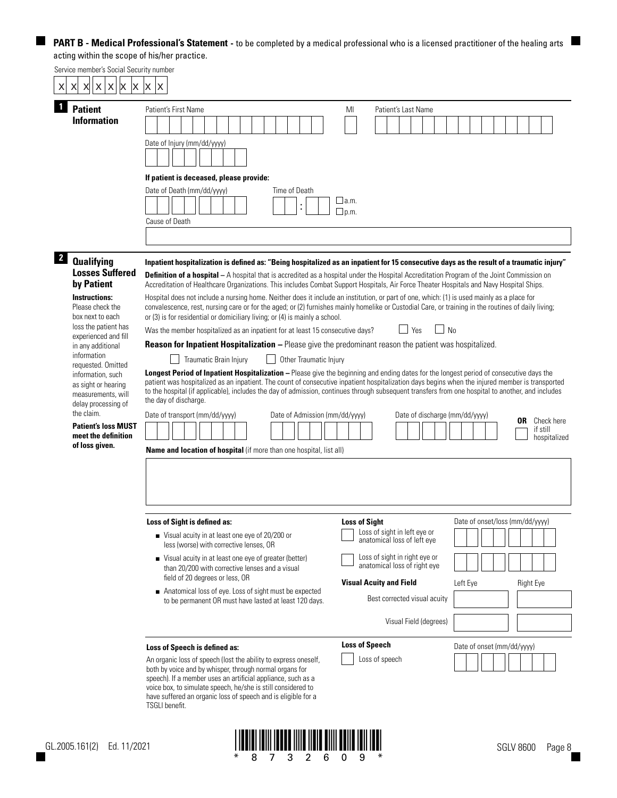Service member's Social Security number Date of Injury (mm/dd/yyyy) Patient's First Name **MI** Patient's Last Name **Qualifying Losses Suffered by Patient Instructions:** Please check the box next to each loss the patient has experienced and fill in any additional information requested. Omitted information, such as sight or hearing measurements, will delay processing of the claim. **Patient's loss MUST meet the definition of loss given. If patient is deceased, please provide:** Date of Death (mm/dd/yyyy) Time of Death Cause of Death  $\Box$ a.m.  $\n *Dp.m.*\n$ **1 2 Patient Information Name and location of hospital** (if more than one hospital, list all) **Definition of a hospital** – A hospital that is accredited as a hospital under the Hospital Accreditation Program of the Joint Commission on Accreditation of Healthcare Organizations. This includes Combat Support Hospitals, Air Force Theater Hospitals and Navy Hospital Ships. Hospital does not include a nursing home. Neither does it include an institution, or part of one, which: (1) is used mainly as a place for convalescence, rest, nursing care or for the aged; or (2) furnishes mainly homelike or Custodial Care, or training in the routines of daily living; or (3) is for residential or domiciliary living; or (4) is mainly a school. Was the member hospitalized as an inpatient for at least 15 consecutive days?  $\Box$  Yes  $\Box$  No Date of transport (mm/dd/yyyy) Date of Admission (mm/dd/yyyy) Date of discharge (mm/dd/yyyy) Date of onset (mm/dd/yyyy) Loss of sight in left eye or anatomical loss of left eye Best corrected visual acuity Visual Field (degrees) Loss of sight in right eye or anatomical loss of right eye **Loss of Sight Visual Acuity and Field Reason for Inpatient Hospitalization –** Please give the predominant reason the patient was hospitalized. Traumatic Brain Injury **Driving of Traumatic Injury Longest Period of Inpatient Hospitalization –** Please give the beginning and ending dates for the longest period of consecutive days the patient was hospitalized as an inpatient. The count of consecutive inpatient hospitalization days begins when the injured member is transported to the hospital (if applicable), includes the day of admission, continues through subsequent transfers from one hospital to another, and includes the day of discharge. **OR** Check here if still hospitalized **Loss of Sight is defined as:** ■ Visual acuity in at least one eye of 20/200 or less (worse) with corrective lenses, OR ■ Visual acuity in at least one eye of greater (better) than 20/200 with corrective lenses and a visual field of 20 degrees or less, OR ■ Anatomical loss of eye. Loss of sight must be expected to be permanent OR must have lasted at least 120 days. Date of onset/loss (mm/dd/yyyy) Loss of speech **Loss of Speech Loss of Speech is defined as:** An organic loss of speech (lost the ability to express oneself, both by voice and by whisper, through normal organs for speech). If a member uses an artificial appliance, such as a voice box, to simulate speech, he/she is still considered to Left Eye Right Eye **Inpatient hospitalization is defined as: "Being hospitalized as an inpatient for 15 consecutive days as the result of a traumatic injury"** x| x| x||x |x |x |x |x



have suffered an organic loss of speech and is eligible for a

TSGLI benefit.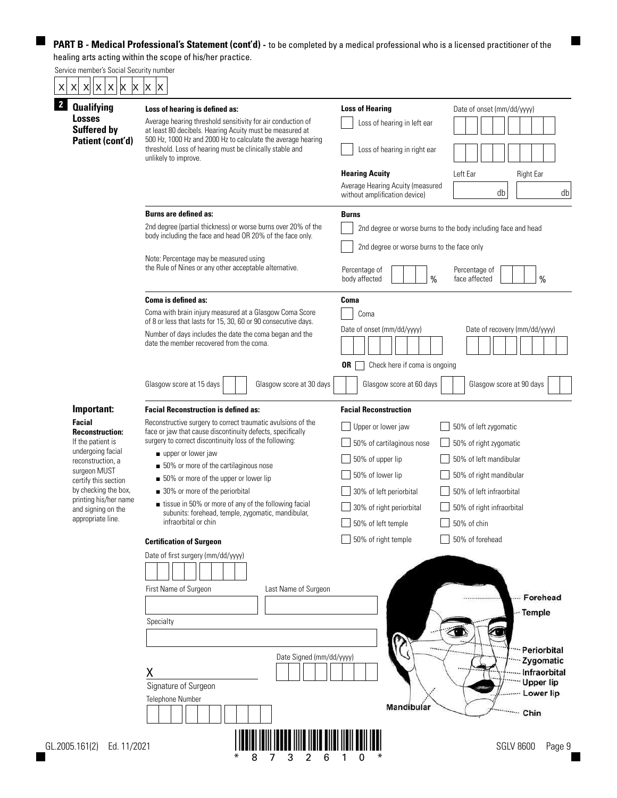$\blacksquare$ 

|  |  | Service member's Social Security number |  |  |  |  |
|--|--|-----------------------------------------|--|--|--|--|
|  |  | x x x x x x x x x                       |  |  |  |  |

| <b>Qualifying</b>                                       | Loss of hearing is defined as:                                                                                                                                                          | <b>Loss of Hearing</b>                                            | Date of onset (mm/dd/yyyy)                                    |  |  |  |  |
|---------------------------------------------------------|-----------------------------------------------------------------------------------------------------------------------------------------------------------------------------------------|-------------------------------------------------------------------|---------------------------------------------------------------|--|--|--|--|
| <b>Losses</b><br><b>Suffered by</b><br>Patient (cont'd) | Average hearing threshold sensitivity for air conduction of<br>at least 80 decibels. Hearing Acuity must be measured at<br>500 Hz, 1000 Hz and 2000 Hz to calculate the average hearing | Loss of hearing in left ear                                       |                                                               |  |  |  |  |
|                                                         | threshold. Loss of hearing must be clinically stable and<br>unlikely to improve.                                                                                                        | Loss of hearing in right ear                                      |                                                               |  |  |  |  |
|                                                         |                                                                                                                                                                                         | <b>Hearing Acuity</b>                                             | Left Ear<br><b>Right Ear</b>                                  |  |  |  |  |
|                                                         |                                                                                                                                                                                         | Average Hearing Acuity (measured<br>without amplification device) | db<br>db                                                      |  |  |  |  |
|                                                         | <b>Burns are defined as:</b>                                                                                                                                                            | <b>Burns</b>                                                      |                                                               |  |  |  |  |
|                                                         | 2nd degree (partial thickness) or worse burns over 20% of the<br>body including the face and head OR 20% of the face only.                                                              |                                                                   | 2nd degree or worse burns to the body including face and head |  |  |  |  |
|                                                         | Note: Percentage may be measured using                                                                                                                                                  | 2nd degree or worse burns to the face only                        |                                                               |  |  |  |  |
|                                                         | the Rule of Nines or any other acceptable alternative.                                                                                                                                  | Percentage of<br>$\frac{0}{0}$<br>body affected                   | Percentage of<br>$\%$<br>face affected                        |  |  |  |  |
|                                                         | Coma is defined as:                                                                                                                                                                     | <b>Coma</b>                                                       |                                                               |  |  |  |  |
|                                                         | Coma with brain injury measured at a Glasgow Coma Score<br>of 8 or less that lasts for 15, 30, 60 or 90 consecutive days.                                                               | Coma                                                              |                                                               |  |  |  |  |
|                                                         | Number of days includes the date the coma began and the<br>date the member recovered from the coma.                                                                                     | Date of onset (mm/dd/yyyy)                                        | Date of recovery (mm/dd/yyyy)                                 |  |  |  |  |
|                                                         |                                                                                                                                                                                         | 0R<br>Check here if coma is ongoing                               |                                                               |  |  |  |  |
|                                                         | Glasgow score at 15 days<br>Glasgow score at 30 days                                                                                                                                    | Glasgow score at 60 days                                          | Glasgow score at 90 days                                      |  |  |  |  |
| Important:                                              | <b>Facial Reconstruction is defined as:</b>                                                                                                                                             | <b>Facial Reconstruction</b>                                      |                                                               |  |  |  |  |
| <b>Facial</b>                                           | Reconstructive surgery to correct traumatic avulsions of the<br>face or jaw that cause discontinuity defects, specifically                                                              | Upper or lower jaw                                                | 50% of left zygomatic                                         |  |  |  |  |
| <b>Reconstruction:</b><br>If the patient is             | surgery to correct discontinuity loss of the following:                                                                                                                                 | 50% of cartilaginous nose                                         | 50% of right zygomatic                                        |  |  |  |  |
| undergoing facial<br>reconstruction, a                  | upper or lower jaw                                                                                                                                                                      | 50% of upper lip                                                  | 50% of left mandibular                                        |  |  |  |  |
| surgeon MUST                                            | 50% or more of the cartilaginous nose                                                                                                                                                   | 50% of lower lip                                                  | 50% of right mandibular                                       |  |  |  |  |
| certify this section<br>by checking the box,            | 50% or more of the upper or lower lip                                                                                                                                                   |                                                                   |                                                               |  |  |  |  |
| printing his/her name                                   | 30% or more of the periorbital<br>■ tissue in 50% or more of any of the following facial                                                                                                | 30% of left periorbital                                           | 50% of left infraorbital                                      |  |  |  |  |
| and signing on the                                      | subunits: forehead, temple, zygomatic, mandibular,                                                                                                                                      | 30% of right periorbital                                          | 50% of right infraorbital                                     |  |  |  |  |
| appropriate line.                                       | infraorbital or chin                                                                                                                                                                    | 50% of left temple                                                | 50% of chin                                                   |  |  |  |  |
|                                                         | <b>Certification of Surgeon</b>                                                                                                                                                         | $\Box$ 50% of right temple                                        | 50% of forehead                                               |  |  |  |  |
|                                                         | Date of first surgery (mm/dd/yyyy)                                                                                                                                                      |                                                                   |                                                               |  |  |  |  |
|                                                         | First Name of Surgeon<br>Last Name of Surgeon                                                                                                                                           |                                                                   |                                                               |  |  |  |  |
|                                                         |                                                                                                                                                                                         |                                                                   | Forehead<br>*****************                                 |  |  |  |  |
|                                                         | Specialty                                                                                                                                                                               |                                                                   | -- Temple                                                     |  |  |  |  |
|                                                         |                                                                                                                                                                                         |                                                                   |                                                               |  |  |  |  |
|                                                         |                                                                                                                                                                                         |                                                                   | Periorbital                                                   |  |  |  |  |
|                                                         | Date Signed (mm/dd/yyyy)                                                                                                                                                                |                                                                   | Zygomatic                                                     |  |  |  |  |
|                                                         | Χ                                                                                                                                                                                       |                                                                   | Infraorbital<br><b>Upper lip</b>                              |  |  |  |  |
|                                                         | Signature of Surgeon                                                                                                                                                                    |                                                                   | Lower lip                                                     |  |  |  |  |
|                                                         | Telephone Number                                                                                                                                                                        | Mandibular                                                        | ****** Chin                                                   |  |  |  |  |
|                                                         |                                                                                                                                                                                         |                                                                   | <b>SGLV 8600</b>                                              |  |  |  |  |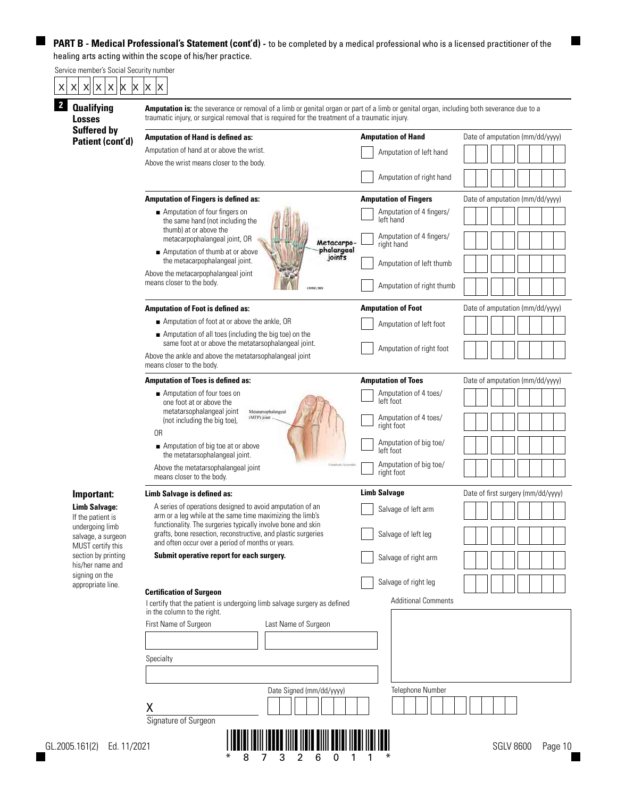| <b>Qualifying</b><br><b>Losses</b>        | Amputation is: the severance or removal of a limb or genital organ or part of a limb or genital organ, including both severance due to a<br>traumatic injury, or surgical removal that is required for the treatment of a traumatic injury. |                                        |                                    |  |  |  |  |  |  |  |
|-------------------------------------------|---------------------------------------------------------------------------------------------------------------------------------------------------------------------------------------------------------------------------------------------|----------------------------------------|------------------------------------|--|--|--|--|--|--|--|
| <b>Suffered by</b><br>Patient (cont'd)    | <b>Amputation of Hand is defined as:</b>                                                                                                                                                                                                    | <b>Amputation of Hand</b>              | Date of amputation (mm/dd/yyyy)    |  |  |  |  |  |  |  |
|                                           | Amputation of hand at or above the wrist.                                                                                                                                                                                                   | Amputation of left hand                |                                    |  |  |  |  |  |  |  |
|                                           | Above the wrist means closer to the body.                                                                                                                                                                                                   |                                        |                                    |  |  |  |  |  |  |  |
|                                           |                                                                                                                                                                                                                                             | Amputation of right hand               |                                    |  |  |  |  |  |  |  |
|                                           | <b>Amputation of Fingers is defined as:</b>                                                                                                                                                                                                 | <b>Amputation of Fingers</b>           | Date of amputation (mm/dd/yyyy)    |  |  |  |  |  |  |  |
|                                           | Amputation of four fingers on                                                                                                                                                                                                               | Amputation of 4 fingers/<br>left hand  |                                    |  |  |  |  |  |  |  |
|                                           | the same hand (not including the<br>thumb) at or above the                                                                                                                                                                                  |                                        |                                    |  |  |  |  |  |  |  |
|                                           | metacarpophalangeal joint, OR<br>Metacarpo-                                                                                                                                                                                                 | Amputation of 4 fingers/<br>right hand |                                    |  |  |  |  |  |  |  |
|                                           | phalangeal<br>joints<br>Amputation of thumb at or above<br>the metacarpophalangeal joint.                                                                                                                                                   | Amputation of left thumb               |                                    |  |  |  |  |  |  |  |
|                                           | Above the metacarpophalangeal joint                                                                                                                                                                                                         |                                        |                                    |  |  |  |  |  |  |  |
|                                           | means closer to the body.                                                                                                                                                                                                                   | Amputation of right thumb              |                                    |  |  |  |  |  |  |  |
|                                           | <b>Amputation of Foot is defined as:</b>                                                                                                                                                                                                    | <b>Amputation of Foot</b>              | Date of amputation (mm/dd/yyyy)    |  |  |  |  |  |  |  |
|                                           | Amputation of foot at or above the ankle, OR                                                                                                                                                                                                | Amputation of left foot                |                                    |  |  |  |  |  |  |  |
|                                           | Amputation of all toes (including the big toe) on the<br>same foot at or above the metatarsophalangeal joint.                                                                                                                               |                                        |                                    |  |  |  |  |  |  |  |
|                                           | Above the ankle and above the metatarsophalangeal joint<br>means closer to the body.                                                                                                                                                        | Amputation of right foot               |                                    |  |  |  |  |  |  |  |
|                                           | <b>Amputation of Toes is defined as:</b>                                                                                                                                                                                                    | <b>Amputation of Toes</b>              | Date of amputation (mm/dd/yyyy)    |  |  |  |  |  |  |  |
|                                           | Amputation of four toes on                                                                                                                                                                                                                  | Amputation of 4 toes/                  |                                    |  |  |  |  |  |  |  |
|                                           | one foot at or above the<br>metatarsophalangeal joint<br>Metatarsophalangeal                                                                                                                                                                | left foot                              |                                    |  |  |  |  |  |  |  |
|                                           | (MTP) joint<br>(not including the big toe),                                                                                                                                                                                                 | Amputation of 4 toes/<br>right foot    |                                    |  |  |  |  |  |  |  |
|                                           | 0R<br>Amputation of big toe at or above                                                                                                                                                                                                     | Amputation of big toe/                 |                                    |  |  |  |  |  |  |  |
|                                           | the metatarsophalangeal joint.                                                                                                                                                                                                              | left foot                              |                                    |  |  |  |  |  |  |  |
|                                           | Above the metatarsophalangeal joint<br>means closer to the body.                                                                                                                                                                            | Amputation of big toe/<br>right foot   |                                    |  |  |  |  |  |  |  |
| Important:                                | Limb Salvage is defined as:                                                                                                                                                                                                                 | <b>Limb Salvage</b>                    | Date of first surgery (mm/dd/yyyy) |  |  |  |  |  |  |  |
| <b>Limb Salvage:</b><br>If the patient is | A series of operations designed to avoid amputation of an<br>arm or a leg while at the same time maximizing the limb's                                                                                                                      | Salvage of left arm                    |                                    |  |  |  |  |  |  |  |
| undergoing limb                           | functionality. The surgeries typically involve bone and skin                                                                                                                                                                                |                                        |                                    |  |  |  |  |  |  |  |
| salvage, a surgeon<br>MUST certify this   | grafts, bone resection, reconstructive, and plastic surgeries<br>and often occur over a period of months or years.                                                                                                                          | Salvage of left leg                    |                                    |  |  |  |  |  |  |  |
| section by printing<br>his/her name and   | Submit operative report for each surgery.                                                                                                                                                                                                   | Salvage of right arm                   |                                    |  |  |  |  |  |  |  |
| signing on the                            |                                                                                                                                                                                                                                             | Salvage of right leg                   |                                    |  |  |  |  |  |  |  |
| appropriate line.                         | <b>Certification of Surgeon</b>                                                                                                                                                                                                             |                                        |                                    |  |  |  |  |  |  |  |
|                                           | I certify that the patient is undergoing limb salvage surgery as defined<br>in the column to the right.                                                                                                                                     | <b>Additional Comments</b>             |                                    |  |  |  |  |  |  |  |
|                                           | First Name of Surgeon<br>Last Name of Surgeon                                                                                                                                                                                               |                                        |                                    |  |  |  |  |  |  |  |
|                                           |                                                                                                                                                                                                                                             |                                        |                                    |  |  |  |  |  |  |  |
|                                           | Specialty                                                                                                                                                                                                                                   |                                        |                                    |  |  |  |  |  |  |  |
|                                           |                                                                                                                                                                                                                                             |                                        |                                    |  |  |  |  |  |  |  |
|                                           | Date Signed (mm/dd/yyyy)                                                                                                                                                                                                                    | Telephone Number                       |                                    |  |  |  |  |  |  |  |
|                                           | Χ                                                                                                                                                                                                                                           |                                        |                                    |  |  |  |  |  |  |  |

\* 8 7 3 2 6 011 \*

H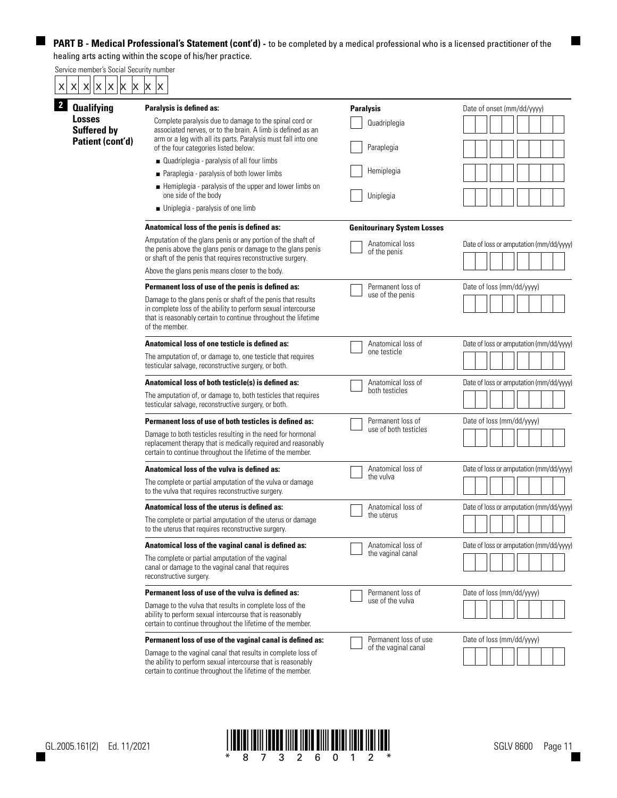# Service member's Social Security number  $\begin{array}{|c|c|c|}\hline \text{x} & \text{x} & \text{x} & \text{x} & \text{x} \ \hline \textbf{2} & \textbf{0} & \textbf{0} & \textbf{1} & \textbf{0} & \textbf{0} \ \hline \end{array}$

5

| <b>Qualifying</b>                   | Paralysis is defined as:                                                                                                                                                                                          | <b>Paralysis</b>                   | Date of onset (mm/dd/yyyy)              |  |  |
|-------------------------------------|-------------------------------------------------------------------------------------------------------------------------------------------------------------------------------------------------------------------|------------------------------------|-----------------------------------------|--|--|
| <b>Losses</b><br><b>Suffered by</b> | Complete paralysis due to damage to the spinal cord or<br>associated nerves, or to the brain. A limb is defined as an<br>arm or a leg with all its parts. Paralysis must fall into one                            | Quadriplegia                       |                                         |  |  |
| Patient (cont'd)                    | of the four categories listed below:                                                                                                                                                                              | Paraplegia                         |                                         |  |  |
|                                     | Quadriplegia - paralysis of all four limbs                                                                                                                                                                        |                                    |                                         |  |  |
|                                     | ■ Paraplegia - paralysis of both lower limbs                                                                                                                                                                      | Hemiplegia                         |                                         |  |  |
|                                     | Hemiplegia - paralysis of the upper and lower limbs on<br>one side of the body                                                                                                                                    | Uniplegia                          |                                         |  |  |
|                                     | $\blacksquare$ Uniplegia - paralysis of one limb                                                                                                                                                                  |                                    |                                         |  |  |
|                                     | Anatomical loss of the penis is defined as:                                                                                                                                                                       | <b>Genitourinary System Losses</b> |                                         |  |  |
|                                     | Amputation of the glans penis or any portion of the shaft of<br>the penis above the glans penis or damage to the glans penis<br>or shaft of the penis that requires reconstructive surgery.                       | Anatomical loss<br>of the penis    | Date of loss or amputation (mm/dd/yyyy) |  |  |
|                                     | Above the glans penis means closer to the body.                                                                                                                                                                   |                                    |                                         |  |  |
|                                     | Permanent loss of use of the penis is defined as:                                                                                                                                                                 | Permanent loss of                  | Date of loss (mm/dd/yyyy)               |  |  |
|                                     | Damage to the glans penis or shaft of the penis that results<br>in complete loss of the ability to perform sexual intercourse<br>that is reasonably certain to continue throughout the lifetime<br>of the member. | use of the penis                   |                                         |  |  |
|                                     | Anatomical loss of one testicle is defined as:                                                                                                                                                                    | Anatomical loss of                 | Date of loss or amputation (mm/dd/yyyy) |  |  |
|                                     | The amputation of, or damage to, one testicle that requires<br>testicular salvage, reconstructive surgery, or both.                                                                                               | one testicle                       |                                         |  |  |
|                                     | Anatomical loss of both testicle(s) is defined as:                                                                                                                                                                | Anatomical loss of                 | Date of loss or amputation (mm/dd/yyyy) |  |  |
|                                     | The amputation of, or damage to, both testicles that requires<br>testicular salvage, reconstructive surgery, or both.                                                                                             | both testicles                     |                                         |  |  |
|                                     | Permanent loss of use of both testicles is defined as:                                                                                                                                                            | Permanent loss of                  | Date of loss (mm/dd/yyyy)               |  |  |
|                                     | Damage to both testicles resulting in the need for hormonal<br>replacement therapy that is medically required and reasonably<br>certain to continue throughout the lifetime of the member.                        | use of both testicles              |                                         |  |  |
|                                     | Anatomical loss of the vulva is defined as:                                                                                                                                                                       | Anatomical loss of                 | Date of loss or amputation (mm/dd/yyyy) |  |  |
|                                     | The complete or partial amputation of the vulva or damage<br>to the vulva that requires reconstructive surgery.                                                                                                   | the vulva                          |                                         |  |  |
|                                     | Anatomical loss of the uterus is defined as:                                                                                                                                                                      | Anatomical loss of                 | Date of loss or amputation (mm/dd/yyyy) |  |  |
|                                     | The complete or partial amputation of the uterus or damage<br>to the uterus that requires reconstructive surgery.                                                                                                 | the uterus                         |                                         |  |  |
|                                     | Anatomical loss of the vaginal canal is defined as:                                                                                                                                                               | Anatomical loss of                 | Date of loss or amputation (mm/dd/yyyy) |  |  |
|                                     | The complete or partial amputation of the vaginal<br>canal or damage to the vaginal canal that requires<br>reconstructive surgery.                                                                                | the vaginal canal                  |                                         |  |  |
|                                     | Permanent loss of use of the vulva is defined as:                                                                                                                                                                 | Permanent loss of                  | Date of loss (mm/dd/yyyy)               |  |  |
|                                     | Damage to the vulva that results in complete loss of the<br>ability to perform sexual intercourse that is reasonably<br>certain to continue throughout the lifetime of the member.                                | use of the vulva                   |                                         |  |  |
|                                     | Permanent loss of use of the vaginal canal is defined as:                                                                                                                                                         | Permanent loss of use              | Date of loss (mm/dd/yyyy)               |  |  |
|                                     | Damage to the vaginal canal that results in complete loss of<br>the ability to perform sexual intercourse that is reasonably<br>certain to continue throughout the lifetime of the member.                        | of the vaginal canal               |                                         |  |  |



H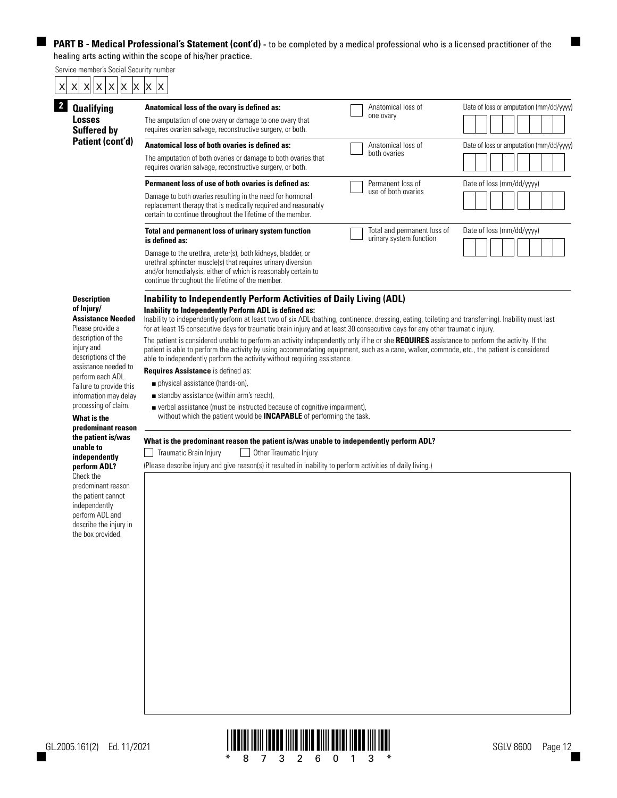Service member's Social Security number

 $\blacksquare$ 

| <b>Qualifying</b>                                          | Anatomical loss of the ovary is defined as:                                                                                                                                                                                                                                                                                                                           | Anatomical loss of                                     |  | Date of loss or amputation (mm/dd/yyyy) |  |  |
|------------------------------------------------------------|-----------------------------------------------------------------------------------------------------------------------------------------------------------------------------------------------------------------------------------------------------------------------------------------------------------------------------------------------------------------------|--------------------------------------------------------|--|-----------------------------------------|--|--|
| <b>Losses</b><br><b>Suffered by</b>                        | The amputation of one ovary or damage to one ovary that<br>requires ovarian salvage, reconstructive surgery, or both.                                                                                                                                                                                                                                                 | one ovary                                              |  |                                         |  |  |
| Patient (cont'd)                                           | Anatomical loss of both ovaries is defined as:                                                                                                                                                                                                                                                                                                                        | Anatomical loss of                                     |  | Date of loss or amputation (mm/dd/yyyy) |  |  |
|                                                            | The amputation of both ovaries or damage to both ovaries that<br>requires ovarian salvage, reconstructive surgery, or both.                                                                                                                                                                                                                                           | both ovaries                                           |  |                                         |  |  |
|                                                            | Permanent loss of use of both ovaries is defined as:                                                                                                                                                                                                                                                                                                                  | Permanent loss of                                      |  | Date of loss (mm/dd/vyyy)               |  |  |
|                                                            | Damage to both ovaries resulting in the need for hormonal<br>replacement therapy that is medically required and reasonably<br>certain to continue throughout the lifetime of the member.                                                                                                                                                                              | use of both ovaries                                    |  |                                         |  |  |
|                                                            | Total and permanent loss of urinary system function<br>is defined as:                                                                                                                                                                                                                                                                                                 | Total and permanent loss of<br>urinary system function |  | Date of loss (mm/dd/yyyy)               |  |  |
|                                                            | Damage to the urethra, ureter(s), both kidneys, bladder, or<br>urethral sphincter muscle(s) that requires urinary diversion<br>and/or hemodialysis, either of which is reasonably certain to<br>continue throughout the lifetime of the member.                                                                                                                       |                                                        |  |                                         |  |  |
| <b>Description</b>                                         | Inability to Independently Perform Activities of Daily Living (ADL)                                                                                                                                                                                                                                                                                                   |                                                        |  |                                         |  |  |
| of Injury/<br><b>Assistance Needed</b><br>Please provide a | Inability to Independently Perform ADL is defined as:<br>Inability to independently perform at least two of six ADL (bathing, continence, dressing, eating, toileting and transferring). Inability must last<br>for at least 15 consecutive days for traumatic brain injury and at least 30 consecutive days for any other traumatic injury.                          |                                                        |  |                                         |  |  |
| description of the<br>injury and<br>descriptions of the    | The patient is considered unable to perform an activity independently only if he or she REQUIRES assistance to perform the activity. If the<br>patient is able to perform the activity by using accommodating equipment, such as a cane, walker, commode, etc., the patient is considered<br>able to independently perform the activity without requiring assistance. |                                                        |  |                                         |  |  |
| assistance needed to                                       | Requires Assistance is defined as:                                                                                                                                                                                                                                                                                                                                    |                                                        |  |                                         |  |  |
| perform each ADL.<br>Failure to provide this               | physical assistance (hands-on),                                                                                                                                                                                                                                                                                                                                       |                                                        |  |                                         |  |  |
| information may delay<br>processing of claim.              | standby assistance (within arm's reach),                                                                                                                                                                                                                                                                                                                              |                                                        |  |                                         |  |  |
|                                                            | ■ verbal assistance (must be instructed because of cognitive impairment),                                                                                                                                                                                                                                                                                             |                                                        |  |                                         |  |  |
| What is the                                                | without which the patient would be <b>INCAPABLE</b> of performing the task.                                                                                                                                                                                                                                                                                           |                                                        |  |                                         |  |  |
| predominant reason<br>the patient is/was                   |                                                                                                                                                                                                                                                                                                                                                                       |                                                        |  |                                         |  |  |
| unable to                                                  | What is the predominant reason the patient is/was unable to independently perform ADL?<br>Traumatic Brain Injury<br>Other Traumatic Injury                                                                                                                                                                                                                            |                                                        |  |                                         |  |  |
| independently<br>perform ADL?<br>Check the                 | (Please describe injury and give reason(s) it resulted in inability to perform activities of daily living.)                                                                                                                                                                                                                                                           |                                                        |  |                                         |  |  |
| predominant reason<br>the patient cannot                   |                                                                                                                                                                                                                                                                                                                                                                       |                                                        |  |                                         |  |  |
| independently<br>perform ADL and<br>describe the injury in |                                                                                                                                                                                                                                                                                                                                                                       |                                                        |  |                                         |  |  |
| the box provided.                                          |                                                                                                                                                                                                                                                                                                                                                                       |                                                        |  |                                         |  |  |
|                                                            |                                                                                                                                                                                                                                                                                                                                                                       |                                                        |  |                                         |  |  |
|                                                            |                                                                                                                                                                                                                                                                                                                                                                       |                                                        |  |                                         |  |  |
|                                                            |                                                                                                                                                                                                                                                                                                                                                                       |                                                        |  |                                         |  |  |
|                                                            |                                                                                                                                                                                                                                                                                                                                                                       |                                                        |  |                                         |  |  |
|                                                            |                                                                                                                                                                                                                                                                                                                                                                       |                                                        |  |                                         |  |  |
|                                                            |                                                                                                                                                                                                                                                                                                                                                                       |                                                        |  |                                         |  |  |
|                                                            |                                                                                                                                                                                                                                                                                                                                                                       |                                                        |  |                                         |  |  |
|                                                            |                                                                                                                                                                                                                                                                                                                                                                       |                                                        |  |                                         |  |  |



 $\blacksquare$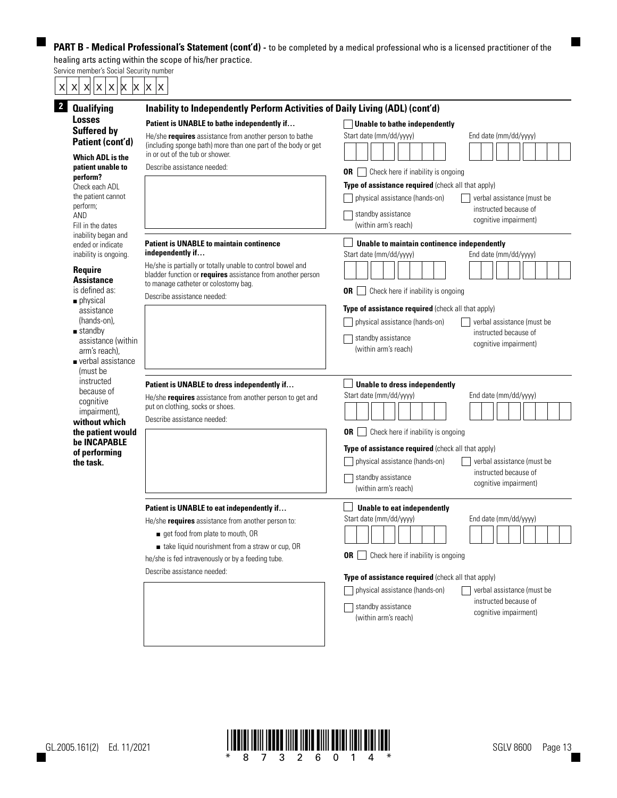Service member's Social Security number

 $\blacksquare$ 

**The Second Service** 

| x x <br>$\pmb{\times}$<br>X<br>X<br>X<br>X                                                                                                                                                                                                                                    | X<br>ΙX                                                                                                                                                                                                                                                                        |                                                                                                                                                                                                                                                                                                                                                                   |  |  |  |  |  |
|-------------------------------------------------------------------------------------------------------------------------------------------------------------------------------------------------------------------------------------------------------------------------------|--------------------------------------------------------------------------------------------------------------------------------------------------------------------------------------------------------------------------------------------------------------------------------|-------------------------------------------------------------------------------------------------------------------------------------------------------------------------------------------------------------------------------------------------------------------------------------------------------------------------------------------------------------------|--|--|--|--|--|
| $2\overline{ }$<br><b>Qualifying</b>                                                                                                                                                                                                                                          | Inability to Independently Perform Activities of Daily Living (ADL) (cont'd)                                                                                                                                                                                                   |                                                                                                                                                                                                                                                                                                                                                                   |  |  |  |  |  |
| <b>Losses</b><br><b>Suffered by</b><br>Patient (cont'd)<br><b>Which ADL is the</b><br>patient unable to<br>perform?<br>Check each ADL<br>the patient cannot<br>perform;<br>AND<br>Fill in the dates                                                                           | Patient is UNABLE to bathe independently if<br>He/she requires assistance from another person to bathe<br>(including sponge bath) more than one part of the body or get<br>in or out of the tub or shower.<br>Describe assistance needed:                                      | Unable to bathe independently<br>Start date (mm/dd/yyyy)<br>End date (mm/dd/yyyy)<br><b>OR</b>   Check here if inability is ongoing<br>Type of assistance required (check all that apply)<br>physical assistance (hands-on)<br>verbal assistance (must be<br>instructed because of<br>standby assistance<br>cognitive impairment)<br>(within arm's reach)         |  |  |  |  |  |
| inability began and<br>ended or indicate<br>inability is ongoing.<br><b>Require</b><br>Assistance<br>is defined as:<br>$\blacksquare$ physical<br>assistance<br>(hands-on),<br>$\blacksquare$ standby<br>assistance (within<br>arm's reach),<br>verbal assistance<br>(must be | <b>Patient is UNABLE to maintain continence</b><br>independently if<br>He/she is partially or totally unable to control bowel and<br>bladder function or <i>requires</i> assistance from another person<br>to manage catheter or colostomy bag.<br>Describe assistance needed: | Unable to maintain continence independently<br>Start date (mm/dd/yyyy)<br>End date (mm/dd/yyyy)<br>Check here if inability is ongoing<br>0R<br>Type of assistance required (check all that apply)<br>physical assistance (hands-on)<br>verbal assistance (must be<br>instructed because of<br>standby assistance<br>cognitive impairment)<br>(within arm's reach) |  |  |  |  |  |
| instructed<br>because of<br>cognitive<br>impairment),<br>without which<br>the patient would<br>be INCAPABLE<br>of performing<br>the task.                                                                                                                                     | Patient is UNABLE to dress independently if<br>He/she requires assistance from another person to get and<br>put on clothing, socks or shoes.<br>Describe assistance needed:                                                                                                    | <b>Unable to dress independently</b><br>Start date (mm/dd/yyyy)<br>End date (mm/dd/yyyy)<br><b>OR</b> Check here if inability is ongoing<br>Type of assistance required (check all that apply)<br>physical assistance (hands-on)<br>verbal assistance (must be<br>instructed because of<br>standby assistance<br>cognitive impairment)<br>(within arm's reach)    |  |  |  |  |  |
|                                                                                                                                                                                                                                                                               | Patient is UNABLE to eat independently if<br>He/she requires assistance from another person to:<br>get food from plate to mouth, OR<br>take liquid nourishment from a straw or cup, OR<br>he/she is fed intravenously or by a feeding tube.<br>Describe assistance needed:     | Unable to eat independently<br>Start date (mm/dd/yyyy)<br>End date (mm/dd/yyyy)<br>Check here if inability is ongoing<br>0R<br>Type of assistance required (check all that apply)<br>physical assistance (hands-on)<br>verbal assistance (must be<br>instructed because of<br>standby assistance<br>cognitive impairment)<br>(within arm's reach)                 |  |  |  |  |  |



 $\blacksquare$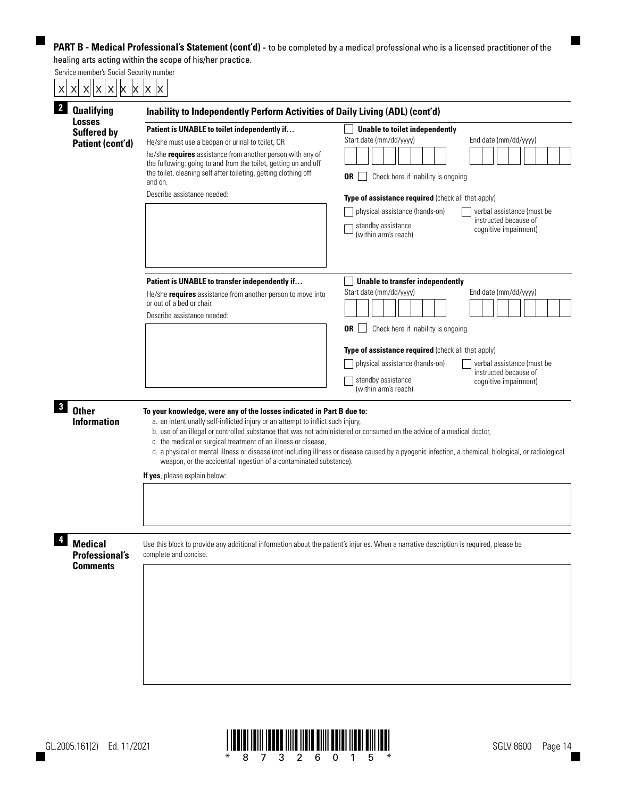| <b>Qualifying</b><br>Losses                                | Inability to Independently Perform Activities of Daily Living (ADL) (cont'd)                                                                                                                                                                                                                                                                                                                                                                              |                                                                                                                                                                                                                                                                                                                                                               |  |  |  |  |  |  |  |  |  |
|------------------------------------------------------------|-----------------------------------------------------------------------------------------------------------------------------------------------------------------------------------------------------------------------------------------------------------------------------------------------------------------------------------------------------------------------------------------------------------------------------------------------------------|---------------------------------------------------------------------------------------------------------------------------------------------------------------------------------------------------------------------------------------------------------------------------------------------------------------------------------------------------------------|--|--|--|--|--|--|--|--|--|
| <b>Suffered by</b><br>Patient (cont'd)                     | Patient is UNABLE to toilet independently if<br>He/she must use a bedpan or urinal to toilet, OR<br>he/she requires assistance from another person with any of<br>the following: going to and from the toilet, getting on and off<br>the toilet, cleaning self after toileting, getting clothing off<br>and on.<br>Describe assistance needed:                                                                                                            | Unable to toilet independently<br>Start date (mm/dd/yyyy)<br>End date (mm/dd/yyyy)<br>0R<br>Check here if inability is ongoing<br>Type of assistance required (check all that apply)<br>physical assistance (hands-on)<br>verbal assistance (must be<br>instructed because of<br>standby assistance<br>cognitive impairment)<br>(within arm's reach)          |  |  |  |  |  |  |  |  |  |
|                                                            | Patient is UNABLE to transfer independently if<br>He/she requires assistance from another person to move into<br>or out of a bed or chair.<br>Describe assistance needed:                                                                                                                                                                                                                                                                                 | <b>Unable to transfer independently</b><br>Start date (mm/dd/yyyy)<br>End date (mm/dd/yyyy)<br>Check here if inability is ongoing<br>0R<br>Type of assistance required (check all that apply)<br>physical assistance (hands-on)<br>verbal assistance (must be<br>instructed because of<br>standby assistance<br>cognitive impairment)<br>(within arm's reach) |  |  |  |  |  |  |  |  |  |
| <b>Other</b><br><b>Information</b>                         | To your knowledge, were any of the losses indicated in Part B due to:<br>a. an intentionally self-inflicted injury or an attempt to inflict such injury,<br>b. use of an illegal or controlled substance that was not administered or consumed on the advice of a medical doctor,<br>c. the medical or surgical treatment of an illness or disease,<br>weapon, or the accidental ingestion of a contaminated substance).<br>If yes, please explain below: | d. a physical or mental illness or disease (not including illness or disease caused by a pyogenic infection, a chemical, biological, or radiological                                                                                                                                                                                                          |  |  |  |  |  |  |  |  |  |
| <b>Medical</b><br><b>Professional's</b><br><b>Comments</b> | Use this block to provide any additional information about the patient's injuries. When a narrative description is required, please be<br>complete and concise.                                                                                                                                                                                                                                                                                           |                                                                                                                                                                                                                                                                                                                                                               |  |  |  |  |  |  |  |  |  |

 $\blacksquare$ 



 $\blacksquare$